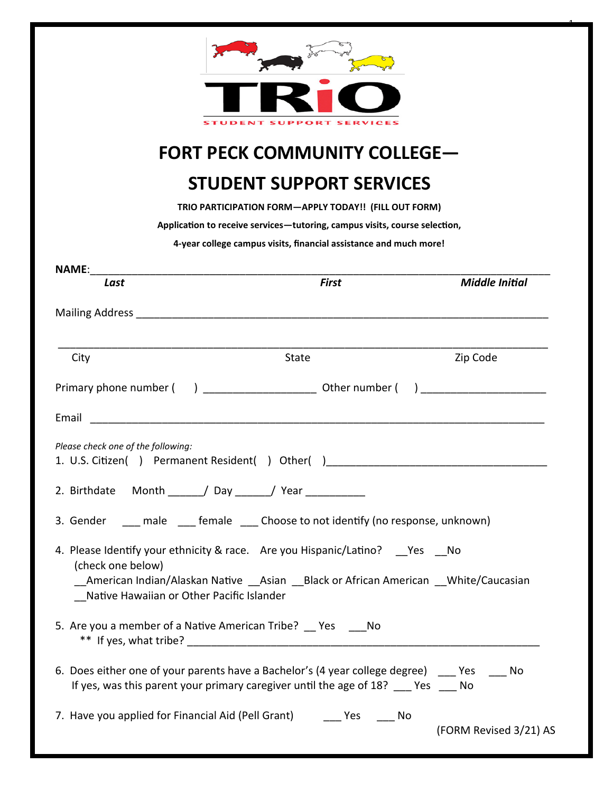|                                                                                     | <b>FORT PECK COMMUNITY COLLEGE-</b>                                                 |                       |
|-------------------------------------------------------------------------------------|-------------------------------------------------------------------------------------|-----------------------|
|                                                                                     | <b>STUDENT SUPPORT SERVICES</b>                                                     |                       |
|                                                                                     | TRIO PARTICIPATION FORM-APPLY TODAY!! (FILL OUT FORM)                               |                       |
|                                                                                     | Application to receive services-tutoring, campus visits, course selection,          |                       |
|                                                                                     | 4-year college campus visits, financial assistance and much more!                   |                       |
| <b>NAME:</b><br>Last                                                                | <u> 1980 - Johann Barn, mars an t-Amerikaansk politiker (* 1908)</u><br>First       | <b>Middle Initial</b> |
|                                                                                     |                                                                                     |                       |
|                                                                                     |                                                                                     |                       |
| City                                                                                | <b>State</b>                                                                        | Zip Code              |
| Primary phone number (                                                              | ) Other number (                                                                    |                       |
|                                                                                     |                                                                                     |                       |
| Email                                                                               |                                                                                     |                       |
| Please check one of the following:<br>1. U.S. Citizen() Permanent Resident() Other( |                                                                                     |                       |
| 2. Birthdate Month / Day / Year / Near                                              |                                                                                     |                       |
|                                                                                     | 3. Gender ___ male ___ female ___ Choose to not identify (no response, unknown)     |                       |
|                                                                                     | 4. Please Identify your ethnicity & race. Are you Hispanic/Latino? Yes No           |                       |
|                                                                                     | _American Indian/Alaskan Native __Asian __Black or African American White/Caucasian |                       |
| (check one below)<br>Native Hawaiian or Other Pacific Islander                      |                                                                                     |                       |
|                                                                                     | 5. Are you a member of a Native American Tribe? __ Yes ____ No                      |                       |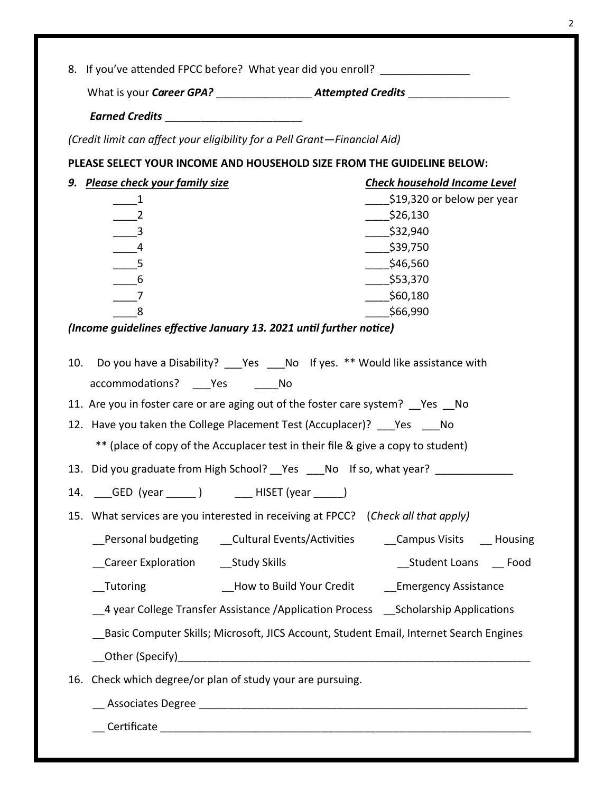| 8. If you've attended FPCC before? What year did you enroll? ___________________                                                                                                                                                                                                                                                                                                                                                                                                                                                                                                                                 |                                                                                                                                                                                                                                                                                                                                                                |
|------------------------------------------------------------------------------------------------------------------------------------------------------------------------------------------------------------------------------------------------------------------------------------------------------------------------------------------------------------------------------------------------------------------------------------------------------------------------------------------------------------------------------------------------------------------------------------------------------------------|----------------------------------------------------------------------------------------------------------------------------------------------------------------------------------------------------------------------------------------------------------------------------------------------------------------------------------------------------------------|
| What is your Career GPA? _________________________Attempted Credits ___________________                                                                                                                                                                                                                                                                                                                                                                                                                                                                                                                          |                                                                                                                                                                                                                                                                                                                                                                |
| Earned Credits __________________________                                                                                                                                                                                                                                                                                                                                                                                                                                                                                                                                                                        |                                                                                                                                                                                                                                                                                                                                                                |
| (Credit limit can affect your eligibility for a Pell Grant-Financial Aid)                                                                                                                                                                                                                                                                                                                                                                                                                                                                                                                                        |                                                                                                                                                                                                                                                                                                                                                                |
| PLEASE SELECT YOUR INCOME AND HOUSEHOLD SIZE FROM THE GUIDELINE BELOW:                                                                                                                                                                                                                                                                                                                                                                                                                                                                                                                                           |                                                                                                                                                                                                                                                                                                                                                                |
| 9. Please check your family size                                                                                                                                                                                                                                                                                                                                                                                                                                                                                                                                                                                 | <b>Check household Income Level</b>                                                                                                                                                                                                                                                                                                                            |
| $\begin{array}{c} \boxed{1} \end{array}$                                                                                                                                                                                                                                                                                                                                                                                                                                                                                                                                                                         | \$19,320 or below per year                                                                                                                                                                                                                                                                                                                                     |
|                                                                                                                                                                                                                                                                                                                                                                                                                                                                                                                                                                                                                  | \$26,130                                                                                                                                                                                                                                                                                                                                                       |
| $-$ 3                                                                                                                                                                                                                                                                                                                                                                                                                                                                                                                                                                                                            | \$32,940                                                                                                                                                                                                                                                                                                                                                       |
| $-4$                                                                                                                                                                                                                                                                                                                                                                                                                                                                                                                                                                                                             | \$39,750                                                                                                                                                                                                                                                                                                                                                       |
| $\overline{\phantom{0}}$ 5                                                                                                                                                                                                                                                                                                                                                                                                                                                                                                                                                                                       | \$46,560                                                                                                                                                                                                                                                                                                                                                       |
| $-6$                                                                                                                                                                                                                                                                                                                                                                                                                                                                                                                                                                                                             | 553,370                                                                                                                                                                                                                                                                                                                                                        |
| $-7$                                                                                                                                                                                                                                                                                                                                                                                                                                                                                                                                                                                                             | 560,180                                                                                                                                                                                                                                                                                                                                                        |
| 8                                                                                                                                                                                                                                                                                                                                                                                                                                                                                                                                                                                                                | \$66,990                                                                                                                                                                                                                                                                                                                                                       |
| (Income guidelines effective January 13. 2021 until further notice)                                                                                                                                                                                                                                                                                                                                                                                                                                                                                                                                              |                                                                                                                                                                                                                                                                                                                                                                |
| 10. Do you have a Disability? ___ Yes ____ No If yes. ** Would like assistance with<br>accommodations? Yes No<br>11. Are you in foster care or are aging out of the foster care system? Ves No<br>12. Have you taken the College Placement Test (Accuplacer)? ___ Yes ___ No<br>** (place of copy of the Accuplacer test in their file & give a copy to student)<br>13. Did you graduate from High School? __ Yes ____ No If so, what year? ______________<br>14. __GED (year ______) ______HISET (year ______)<br>15. What services are you interested in receiving at FPCC? (Check all that apply)<br>Tutoring | _Personal budgeting    __Cultural Events/Activities    ___Campus Visits    __ Housing<br>Student Loans ___ Food<br>__How to Build Your Credit _________ Emergency Assistance<br>4 year College Transfer Assistance /Application Process ___ Scholarship Applications<br>Basic Computer Skills; Microsoft, JICS Account, Student Email, Internet Search Engines |
| Check which degree/or plan of study your are pursuing.<br>16.                                                                                                                                                                                                                                                                                                                                                                                                                                                                                                                                                    |                                                                                                                                                                                                                                                                                                                                                                |
|                                                                                                                                                                                                                                                                                                                                                                                                                                                                                                                                                                                                                  |                                                                                                                                                                                                                                                                                                                                                                |
| Certificate                                                                                                                                                                                                                                                                                                                                                                                                                                                                                                                                                                                                      |                                                                                                                                                                                                                                                                                                                                                                |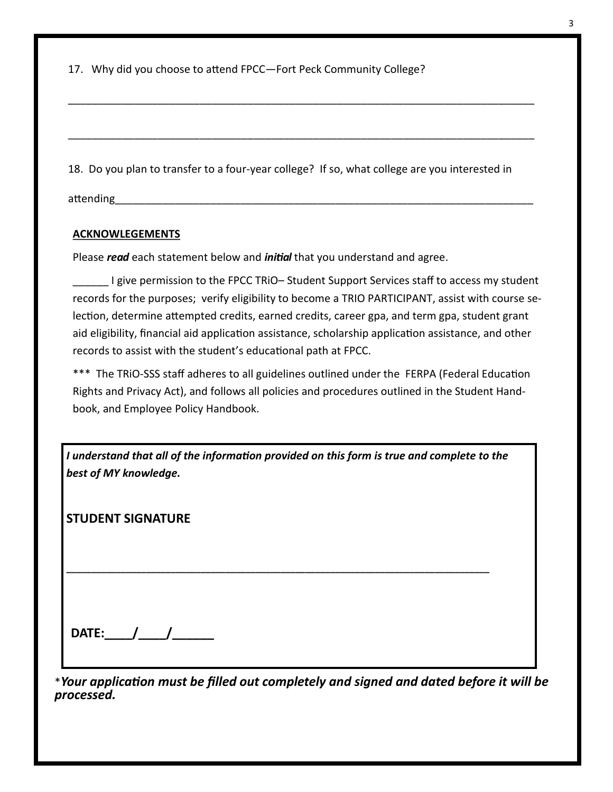17. Why did you choose to attend FPCC—Fort Peck Community College?

18. Do you plan to transfer to a four-year college? If so, what college are you interested in

\_\_\_\_\_\_\_\_\_\_\_\_\_\_\_\_\_\_\_\_\_\_\_\_\_\_\_\_\_\_\_\_\_\_\_\_\_\_\_\_\_\_\_\_\_\_\_\_\_\_\_\_\_\_\_\_\_\_\_\_\_\_\_\_\_\_\_\_\_\_\_\_\_\_\_\_\_\_

\_\_\_\_\_\_\_\_\_\_\_\_\_\_\_\_\_\_\_\_\_\_\_\_\_\_\_\_\_\_\_\_\_\_\_\_\_\_\_\_\_\_\_\_\_\_\_\_\_\_\_\_\_\_\_\_\_\_\_\_\_\_\_\_\_\_\_\_\_\_\_\_\_\_\_\_\_\_

attending

## **ACKNOWLEGEMENTS**

Please *read* each statement below and *initial* that you understand and agree.

I give permission to the FPCC TRiO– Student Support Services staff to access my student records for the purposes; verify eligibility to become a TRIO PARTICIPANT, assist with course selection, determine attempted credits, earned credits, career gpa, and term gpa, student grant aid eligibility, financial aid application assistance, scholarship application assistance, and other records to assist with the student's educational path at FPCC.

\*\*\* The TRiO-SSS staff adheres to all guidelines outlined under the FERPA (Federal Education Rights and Privacy Act), and follows all policies and procedures outlined in the Student Handbook, and Employee Policy Handbook.

| I understand that all of the information provided on this form is true and complete to the |
|--------------------------------------------------------------------------------------------|
| best of MY knowledge.                                                                      |

**\_\_\_\_\_\_\_\_\_\_\_\_\_\_\_\_\_\_\_\_\_\_\_\_\_\_\_\_\_\_\_\_\_\_\_\_\_\_\_\_\_\_\_\_\_\_\_\_\_\_\_\_\_\_\_\_\_\_\_\_\_\_\_\_\_\_\_\_\_\_\_\_\_\_\_\_\_\_\_\_\_\_\_\_\_** 

**STUDENT SIGNATURE**

\**Your application must be filled out completely and signed and dated before it will be processed.*